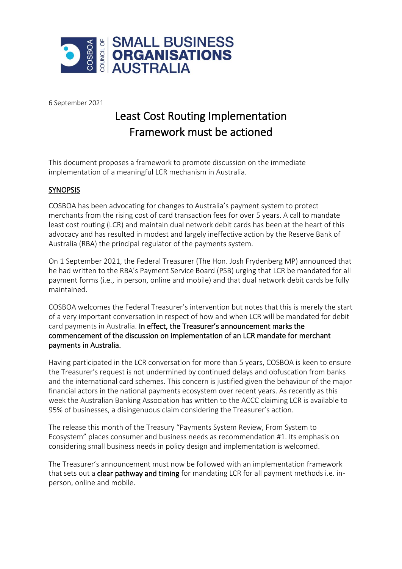

6 September 2021

## Least Cost Routing Implementation Framework must be actioned

This document proposes a framework to promote discussion on the immediate implementation of a meaningful LCR mechanism in Australia.

## **SYNOPSIS**

COSBOA has been advocating for changes to Australia's payment system to protect merchants from the rising cost of card transaction fees for over 5 years. A call to mandate least cost routing (LCR) and maintain dual network debit cards has been at the heart of this advocacy and has resulted in modest and largely ineffective action by the Reserve Bank of Australia (RBA) the principal regulator of the payments system.

On 1 September 2021, the Federal Treasurer (The Hon. Josh Frydenberg MP) announced that he had written to the RBA's Payment Service Board (PSB) urging that LCR be mandated for all payment forms (i.e., in person, online and mobile) and that dual network debit cards be fully maintained.

COSBOA welcomes the Federal Treasurer's intervention but notes that this is merely the start of a very important conversation in respect of how and when LCR will be mandated for debit card payments in Australia. In effect, the Treasurer's announcement marks the commencement of the discussion on implementation of an LCR mandate for merchant payments in Australia.

Having participated in the LCR conversation for more than 5 years, COSBOA is keen to ensure the Treasurer's request is not undermined by continued delays and obfuscation from banks and the international card schemes. This concern is justified given the behaviour of the major financial actors in the national payments ecosystem over recent years. As recently as this week the Australian Banking Association has written to the ACCC claiming LCR is available to 95% of businesses, a disingenuous claim considering the Treasurer's action.

The release this month of the Treasury "Payments System Review, From System to Ecosystem" places consumer and business needs as recommendation #1. Its emphasis on considering small business needs in policy design and implementation is welcomed.

The Treasurer's announcement must now be followed with an implementation framework that sets out a **clear pathway and timing** for mandating LCR for all payment methods i.e. inperson, online and mobile.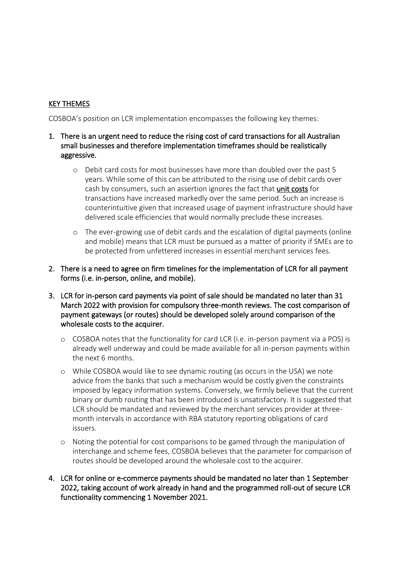## KEY THEMES

COSBOA's position on LCR implementation encompasses the following key themes:

- 1. There is an urgent need to reduce the rising cost of card transactions for all Australian small businesses and therefore implementation timeframes should be realistically aggressive.
	- o Debit card costs for most businesses have more than doubled over the past 5 years. While some of this can be attributed to the rising use of debit cards over cash by consumers, such an assertion ignores the fact that unit costs for transactions have increased markedly over the same period. Such an increase is counterintuitive given that increased usage of payment infrastructure should have delivered scale efficiencies that would normally preclude these increases.
	- o The ever-growing use of debit cards and the escalation of digital payments (online and mobile) means that LCR must be pursued as a matter of priority if SMEs are to be protected from unfettered increases in essential merchant services fees.
- 2. There is a need to agree on firm timelines for the implementation of LCR for all payment forms (i.e. in-person, online, and mobile).
- 3. LCR for in-person card payments via point of sale should be mandated no later than 31 March 2022 with provision for compulsory three-month reviews. The cost comparison of payment gateways (or routes) should be developed solely around comparison of the wholesale costs to the acquirer.
	- o COSBOA notes that the functionality for card LCR (i.e. in-person payment via a POS) is already well underway and could be made available for all in-person payments within the next 6 months.
	- o While COSBOA would like to see dynamic routing (as occurs in the USA) we note advice from the banks that such a mechanism would be costly given the constraints imposed by legacy information systems. Conversely, we firmly believe that the current binary or dumb routing that has been introduced is unsatisfactory. It is suggested that LCR should be mandated and reviewed by the merchant services provider at threemonth intervals in accordance with RBA statutory reporting obligations of card issuers.
	- o Noting the potential for cost comparisons to be gamed through the manipulation of interchange and scheme fees, COSBOA believes that the parameter for comparison of routes should be developed around the wholesale cost to the acquirer.
- 4. LCR for online or e-commerce payments should be mandated no later than 1 September 2022, taking account of work already in hand and the programmed roll-out of secure LCR functionality commencing 1 November 2021.